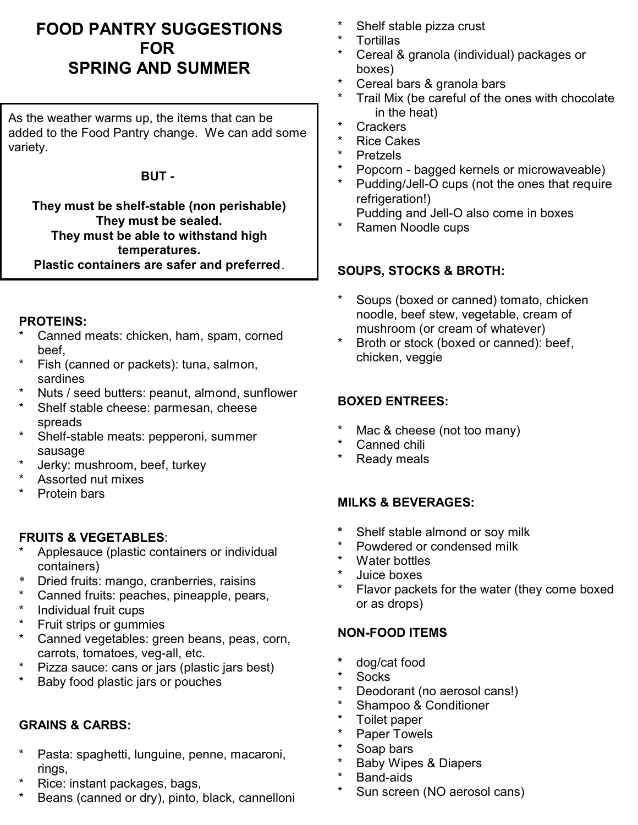# **FOOD PANTRY SUGGESTIONS FOR SPRING AND SUMMER**

As the weather warms up, the items that can be added to the Food Pantry change. We can add some variety.

#### **BUT -**

**They must be shelf-stable (non perishable) They must be sealed. They must be able to withstand high temperatures. Plastic containers are safer and preferred**.

#### **PROTEINS:**

- Canned meats: chicken, ham, spam, corned beef,
- Fish (canned or packets): tuna, salmon, sardines
- Nuts / seed butters: peanut, almond, sunflower
- Shelf stable cheese: parmesan, cheese spreads
- Shelf-stable meats: pepperoni, summer sausage
- Jerky: mushroom, beef, turkey
- Assorted nut mixes
- Protein bars

## **FRUITS & VEGETABLES**:

- Applesauce (plastic containers or individual containers)
- \* Dried fruits: mango, cranberries, raisins
- Canned fruits: peaches, pineapple, pears,
- Individual fruit cups
- Fruit strips or gummies
- Canned vegetables: green beans, peas, corn, carrots, tomatoes, veg-all, etc.
- Pizza sauce: cans or jars (plastic jars best)
- Baby food plastic jars or pouches

## **GRAINS & CARBS:**

- Pasta: spaghetti, lunguine, penne, macaroni, rings,
- Rice: instant packages, bags,
- Beans (canned or dry), pinto, black, cannelloni
- Shelf stable pizza crust
- **Tortillas**
- Cereal & granola (individual) packages or boxes)
- \* Cereal bars  $\&$  granola bars<br>\*  $\frac{1}{2}$  Treil Mix (be exactly of the c
- Trail Mix (be careful of the ones with chocolate in the heat)
- \* Crackers
- \* Rice Cakes
- **Pretzels**
- Popcorn bagged kernels or microwaveable)
- Pudding/Jell-O cups (not the ones that require refrigeration!)
	- Pudding and Jell-O also come in boxes
- Ramen Noodle cups

## **SOUPS, STOCKS & BROTH:**

- \* Soups (boxed or canned) tomato, chicken noodle, beef stew, vegetable, cream of mushroom (or cream of whatever)
- \* Broth or stock (boxed or canned): beef, chicken, veggie

## **BOXED ENTREES:**

- \* Mac & cheese (not too many)
- Canned chili
- **Ready meals**

## **MILKS & BEVERAGES:**

- **\*** Shelf stable almond or soy milk
- Powdered or condensed milk
- Water bottles
- Juice boxes
- Flavor packets for the water (they come boxed or as drops)

## **NON-FOOD ITEMS**

- **\*** dog/cat food
- Socks
- \* Deodorant (no aerosol cans!)
- Shampoo & Conditioner
- Toilet paper
- Paper Towels
- Soap bars
- Baby Wipes & Diapers
- Band-aids
- Sun screen (NO aerosol cans)